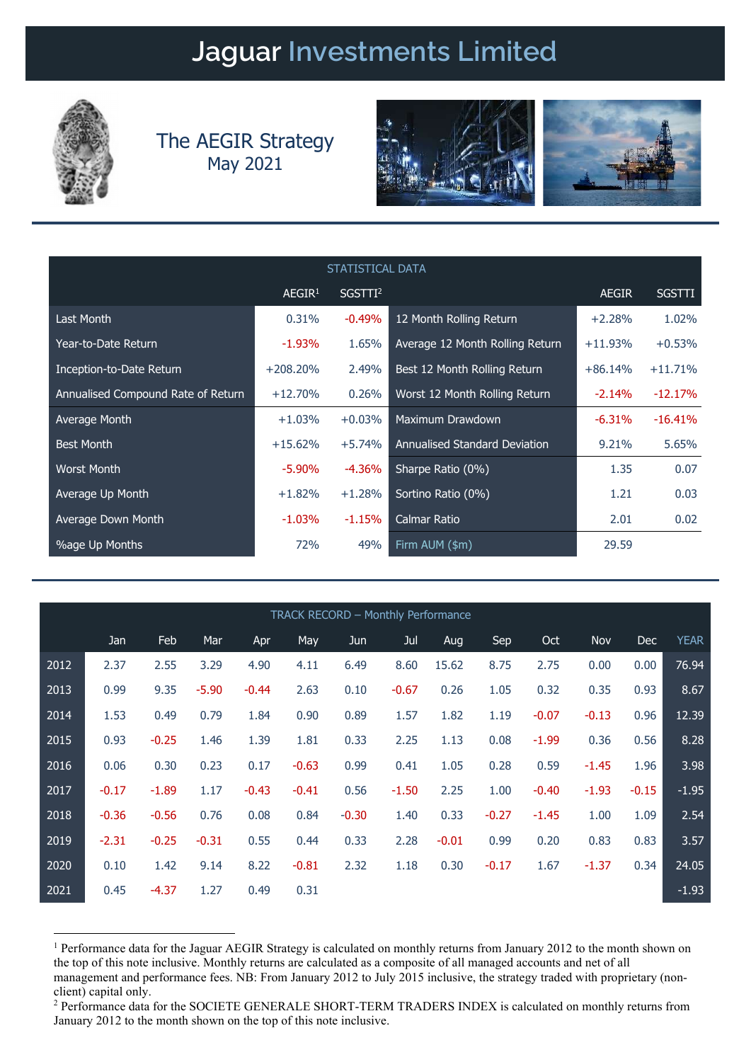## Jaguar Investments Limited



## The AEGIR Strategy May 2021





| STATISTICAL DATA                   |                    |                     |                                      |              |               |  |  |  |  |
|------------------------------------|--------------------|---------------------|--------------------------------------|--------------|---------------|--|--|--|--|
|                                    | AEGIR <sup>1</sup> | SGSTTI <sup>2</sup> |                                      | <b>AEGIR</b> | <b>SGSTTI</b> |  |  |  |  |
| Last Month                         | 0.31%              | $-0.49%$            | 12 Month Rolling Return              | $+2.28%$     | 1.02%         |  |  |  |  |
| Year-to-Date Return                | $-1.93\%$          | 1.65%               | Average 12 Month Rolling Return      | $+11.93%$    | $+0.53%$      |  |  |  |  |
| Inception-to-Date Return           | $+208,20%$         | 2.49%               | Best 12 Month Rolling Return         | $+86.14%$    | $+11.71%$     |  |  |  |  |
| Annualised Compound Rate of Return | $+12.70%$          | 0.26%               | Worst 12 Month Rolling Return        | $-2.14%$     | $-12.17%$     |  |  |  |  |
| Average Month                      | $+1.03%$           | $+0.03%$            | Maximum Drawdown                     | $-6.31%$     | $-16.41%$     |  |  |  |  |
| <b>Best Month</b>                  | $+15.62%$          | $+5.74%$            | <b>Annualised Standard Deviation</b> | 9.21%        | 5.65%         |  |  |  |  |
| <b>Worst Month</b>                 | $-5.90\%$          | $-4.36\%$           | Sharpe Ratio (0%)                    | 1.35         | 0.07          |  |  |  |  |
| Average Up Month                   | $+1.82%$           | $+1.28%$            | Sortino Ratio (0%)                   | 1.21         | 0.03          |  |  |  |  |
| Average Down Month                 | $-1.03\%$          | $-1.15%$            | <b>Calmar Ratio</b>                  | 2.01         | 0.02          |  |  |  |  |
| <b>%age Up Months</b>              | 72%                | 49%                 | Firm AUM (\$m)                       | 29.59        |               |  |  |  |  |

| TRACK RECORD - Monthly Performance |         |         |         |         |         |         |         |         |         |         |         |            |             |
|------------------------------------|---------|---------|---------|---------|---------|---------|---------|---------|---------|---------|---------|------------|-------------|
|                                    | Jan     | Feb     | Mar     | Apr     | May     | Jun     | Jul     | Aug     | Sep     | Oct     | Nov     | <b>Dec</b> | <b>YEAR</b> |
| 2012                               | 2.37    | 2.55    | 3.29    | 4.90    | 4.11    | 6.49    | 8.60    | 15.62   | 8.75    | 2.75    | 0.00    | 0.00       | 76.94       |
| 2013                               | 0.99    | 9.35    | $-5.90$ | $-0.44$ | 2.63    | 0.10    | $-0.67$ | 0.26    | 1.05    | 0.32    | 0.35    | 0.93       | 8.67        |
| 2014                               | 1.53    | 0.49    | 0.79    | 1.84    | 0.90    | 0.89    | 1.57    | 1.82    | 1.19    | $-0.07$ | $-0.13$ | 0.96       | 12.39       |
| 2015                               | 0.93    | $-0.25$ | 1.46    | 1.39    | 1.81    | 0.33    | 2.25    | 1.13    | 0.08    | $-1.99$ | 0.36    | 0.56       | 8.28        |
| 2016                               | 0.06    | 0.30    | 0.23    | 0.17    | $-0.63$ | 0.99    | 0.41    | 1.05    | 0.28    | 0.59    | $-1.45$ | 1.96       | 3.98        |
| 2017                               | $-0.17$ | $-1.89$ | 1.17    | $-0.43$ | $-0.41$ | 0.56    | $-1.50$ | 2.25    | 1.00    | $-0.40$ | $-1.93$ | $-0.15$    | $-1.95$     |
| 2018                               | $-0.36$ | $-0.56$ | 0.76    | 0.08    | 0.84    | $-0.30$ | 1.40    | 0.33    | $-0.27$ | $-1.45$ | 1.00    | 1.09       | 2.54        |
| 2019                               | $-2.31$ | $-0.25$ | $-0.31$ | 0.55    | 0.44    | 0.33    | 2.28    | $-0.01$ | 0.99    | 0.20    | 0.83    | 0.83       | 3.57        |
| 2020                               | 0.10    | 1.42    | 9.14    | 8.22    | $-0.81$ | 2.32    | 1.18    | 0.30    | $-0.17$ | 1.67    | $-1.37$ | 0.34       | 24.05       |
| 2021                               | 0.45    | $-4.37$ | 1.27    | 0.49    | 0.31    |         |         |         |         |         |         |            | $-1.93$     |

<sup>&</sup>lt;sup>1</sup> Performance data for the Jaguar AEGIR Strategy is calculated on monthly returns from January 2012 to the month shown on the top of this note inclusive. Monthly returns are calculated as a composite of all managed accounts and net of all management and performance fees. NB: From January 2012 to July 2015 inclusive, the strategy traded with proprietary (nonclient) capital only.

<sup>&</sup>lt;sup>2</sup> Performance data for the SOCIETE GENERALE SHORT-TERM TRADERS INDEX is calculated on monthly returns from January 2012 to the month shown on the top of this note inclusive.